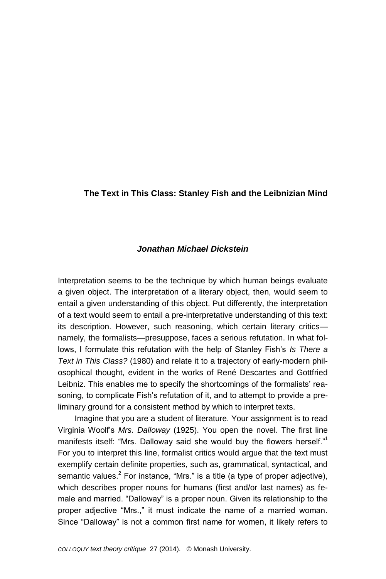## **The Text in This Class: Stanley Fish and the Leibnizian Mind**

## *Jonathan Michael Dickstein*

Interpretation seems to be the technique by which human beings evaluate a given object. The interpretation of a literary object, then, would seem to entail a given understanding of this object. Put differently, the interpretation of a text would seem to entail a pre-interpretative understanding of this text: its description. However, such reasoning, which certain literary critics namely, the formalists—presuppose, faces a serious refutation. In what follows, I formulate this refutation with the help of Stanley Fish's *Is There a Text in This Class?* (1980) and relate it to a trajectory of early-modern philosophical thought, evident in the works of René Descartes and Gottfried Leibniz. This enables me to specify the shortcomings of the formalists' reasoning, to complicate Fish's refutation of it, and to attempt to provide a preliminary ground for a consistent method by which to interpret texts.

Imagine that you are a student of literature. Your assignment is to read Virginia Woolf's *Mrs. Dalloway* (1925). You open the novel. The first line manifests itself: "Mrs. Dalloway said she would buy the flowers herself." For you to interpret this line, formalist critics would argue that the text must exemplify certain definite properties, such as, grammatical, syntactical, and semantic values.<sup>2</sup> For instance, "Mrs." is a title (a type of proper adjective), which describes proper nouns for humans (first and/or last names) as female and married. "Dalloway" is a proper noun. Given its relationship to the proper adjective "Mrs.," it must indicate the name of a married woman. Since "Dalloway" is not a common first name for women, it likely refers to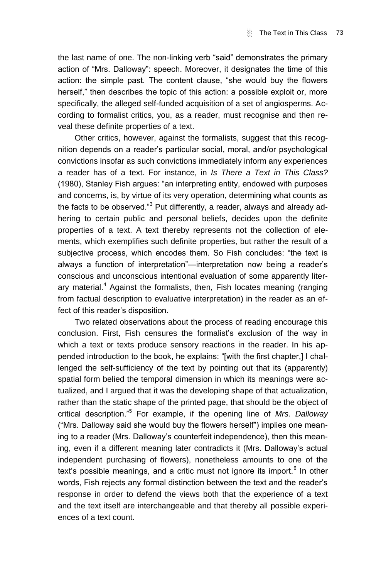the last name of one. The non-linking verb "said" demonstrates the primary action of "Mrs. Dalloway": speech. Moreover, it designates the time of this action: the simple past. The content clause, "she would buy the flowers herself," then describes the topic of this action: a possible exploit or, more specifically, the alleged self-funded acquisition of a set of angiosperms. According to formalist critics, you, as a reader, must recognise and then reveal these definite properties of a text.

Other critics, however, against the formalists, suggest that this recognition depends on a reader's particular social, moral, and/or psychological convictions insofar as such convictions immediately inform any experiences a reader has of a text. For instance, in *Is There a Text in This Class?*  (1980), Stanley Fish argues: "an interpreting entity, endowed with purposes and concerns, is, by virtue of its very operation, determining what counts as the facts to be observed."<sup>3</sup> Put differently, a reader, always and already adhering to certain public and personal beliefs, decides upon the definite properties of a text. A text thereby represents not the collection of elements, which exemplifies such definite properties, but rather the result of a subjective process, which encodes them. So Fish concludes: "the text is always a function of interpretation"—interpretation now being a reader's conscious and unconscious intentional evaluation of some apparently literary material.<sup>4</sup> Against the formalists, then, Fish locates meaning (ranging from factual description to evaluative interpretation) in the reader as an effect of this reader's disposition.

Two related observations about the process of reading encourage this conclusion. First, Fish censures the formalist's exclusion of the way in which a text or texts produce sensory reactions in the reader. In his appended introduction to the book, he explains: "[with the first chapter,] I challenged the self-sufficiency of the text by pointing out that its (apparently) spatial form belied the temporal dimension in which its meanings were actualized, and I argued that it was the developing shape of that actualization, rather than the static shape of the printed page, that should be the object of critical description."<sup>5</sup> For example, if the opening line of *Mrs. Dalloway* ("Mrs. Dalloway said she would buy the flowers herself") implies one meaning to a reader (Mrs. Dalloway's counterfeit independence), then this meaning, even if a different meaning later contradicts it (Mrs. Dalloway's actual independent purchasing of flowers), nonetheless amounts to one of the text's possible meanings, and a critic must not ignore its import. $6$  In other words, Fish rejects any formal distinction between the text and the reader's response in order to defend the views both that the experience of a text and the text itself are interchangeable and that thereby all possible experiences of a text count.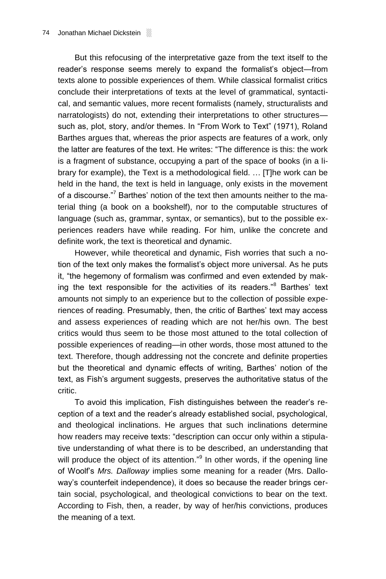But this refocusing of the interpretative gaze from the text itself to the reader's response seems merely to expand the formalist's object—from texts alone to possible experiences of them. While classical formalist critics conclude their interpretations of texts at the level of grammatical, syntactical, and semantic values, more recent formalists (namely, structuralists and narratologists) do not, extending their interpretations to other structures such as, plot, story, and/or themes. In "From Work to Text" (1971), Roland Barthes argues that, whereas the prior aspects are features of a work, only the latter are features of the text. He writes: "The difference is this: the work is a fragment of substance, occupying a part of the space of books (in a library for example), the Text is a methodological field. … [T]he work can be held in the hand, the text is held in language, only exists in the movement of a discourse."<sup>7</sup> Barthes' notion of the text then amounts neither to the material thing (a book on a bookshelf), nor to the computable structures of language (such as, grammar, syntax, or semantics), but to the possible experiences readers have while reading. For him, unlike the concrete and definite work, the text is theoretical and dynamic.

However, while theoretical and dynamic, Fish worries that such a notion of the text only makes the formalist's object more universal. As he puts it, "the hegemony of formalism was confirmed and even extended by making the text responsible for the activities of its readers."<sup>8</sup> Barthes' text amounts not simply to an experience but to the collection of possible experiences of reading. Presumably, then, the critic of Barthes' text may access and assess experiences of reading which are not her/his own. The best critics would thus seem to be those most attuned to the total collection of possible experiences of reading—in other words, those most attuned to the text. Therefore, though addressing not the concrete and definite properties but the theoretical and dynamic effects of writing, Barthes' notion of the text, as Fish's argument suggests, preserves the authoritative status of the critic.

To avoid this implication, Fish distinguishes between the reader's reception of a text and the reader's already established social, psychological, and theological inclinations. He argues that such inclinations determine how readers may receive texts: "description can occur only within a stipulative understanding of what there is to be described, an understanding that will produce the object of its attention."<sup>9</sup> In other words, if the opening line of Woolf's *Mrs. Dalloway* implies some meaning for a reader (Mrs. Dalloway's counterfeit independence), it does so because the reader brings certain social, psychological, and theological convictions to bear on the text. According to Fish, then, a reader, by way of her/his convictions, produces the meaning of a text.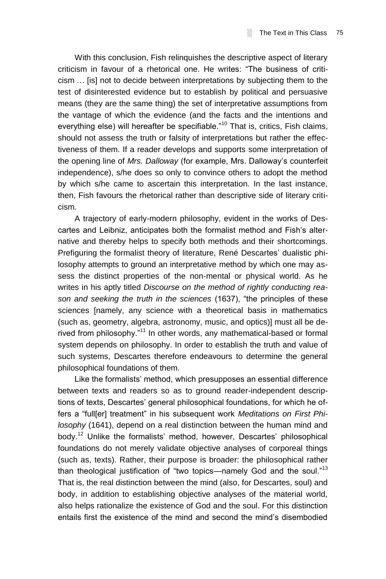With this conclusion, Fish relinquishes the descriptive aspect of literary criticism in favour of a rhetorical one. He writes: "The business of criticism … [is] not to decide between interpretations by subjecting them to the test of disinterested evidence but to establish by political and persuasive means (they are the same thing) the set of interpretative assumptions from the vantage of which the evidence (and the facts and the intentions and everything else) will hereafter be specifiable."<sup>10</sup> That is, critics, Fish claims, should not assess the truth or falsity of interpretations but rather the effectiveness of them. If a reader develops and supports some interpretation of the opening line of *Mrs. Dalloway* (for example, Mrs. Dalloway's counterfeit independence), s/he does so only to convince others to adopt the method by which s/he came to ascertain this interpretation. In the last instance, then, Fish favours the rhetorical rather than descriptive side of literary criticism.

A trajectory of early-modern philosophy, evident in the works of Descartes and Leibniz, anticipates both the formalist method and Fish's alternative and thereby helps to specify both methods and their shortcomings. Prefiguring the formalist theory of literature, René Descartes' dualistic philosophy attempts to ground an interpretative method by which one may assess the distinct properties of the non-mental or physical world. As he writes in his aptly titled *Discourse on the method of rightly conducting reason and seeking the truth in the sciences* (1637), "the principles of these sciences [namely, any science with a theoretical basis in mathematics (such as, geometry, algebra, astronomy, music, and optics)] must all be derived from philosophy."<sup>11</sup> In other words, any mathematical-based or formal system depends on philosophy. In order to establish the truth and value of such systems, Descartes therefore endeavours to determine the general philosophical foundations of them.

Like the formalists' method, which presupposes an essential difference between texts and readers so as to ground reader-independent descriptions of texts, Descartes' general philosophical foundations, for which he offers a "full[er] treatment" in his subsequent work *Meditations on First Philosophy* (1641), depend on a real distinction between the human mind and body.<sup>12</sup> Unlike the formalists' method, however, Descartes' philosophical foundations do not merely validate objective analyses of corporeal things (such as, texts). Rather, their purpose is broader: the philosophical rather than theological justification of "two topics—namely God and the soul."<sup>13</sup> That is, the real distinction between the mind (also, for Descartes, soul) and body, in addition to establishing objective analyses of the material world, also helps rationalize the existence of God and the soul. For this distinction entails first the existence of the mind and second the mind's disembodied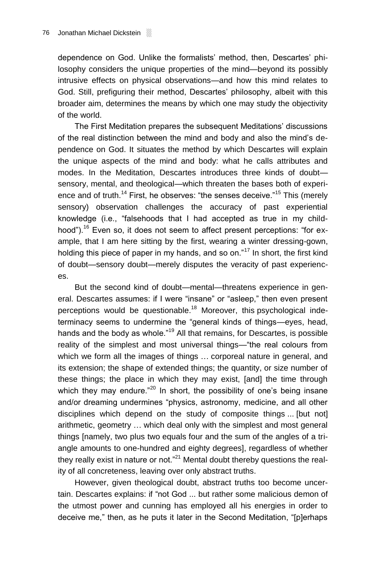dependence on God. Unlike the formalists' method, then, Descartes' philosophy considers the unique properties of the mind—beyond its possibly intrusive effects on physical observations—and how this mind relates to God. Still, prefiguring their method, Descartes' philosophy, albeit with this broader aim, determines the means by which one may study the objectivity of the world.

The First Meditation prepares the subsequent Meditations' discussions of the real distinction between the mind and body and also the mind's dependence on God. It situates the method by which Descartes will explain the unique aspects of the mind and body: what he calls attributes and modes. In the Meditation, Descartes introduces three kinds of doubt sensory, mental, and theological—which threaten the bases both of experience and of truth.<sup>14</sup> First, he observes: "the senses deceive."<sup>15</sup> This (merely sensory) observation challenges the accuracy of past experiential knowledge (i.e., "falsehoods that I had accepted as true in my childhood").<sup>16</sup> Even so, it does not seem to affect present perceptions: "for example, that I am here sitting by the first, wearing a winter dressing-gown, holding this piece of paper in my hands, and so on."<sup>17</sup> In short, the first kind of doubt—sensory doubt—merely disputes the veracity of past experiences.

But the second kind of doubt—mental—threatens experience in general. Descartes assumes: if I were "insane" or "asleep," then even present perceptions would be questionable.<sup>18</sup> Moreover, this psychological indeterminacy seems to undermine the "general kinds of things—eyes, head, hands and the body as whole."<sup>19</sup> All that remains, for Descartes, is possible reality of the simplest and most universal things—"the real colours from which we form all the images of things … corporeal nature in general, and its extension; the shape of extended things; the quantity, or size number of these things; the place in which they may exist, [and] the time through which they may endure. $n^{20}$  In short, the possibility of one's being insane and/or dreaming undermines "physics, astronomy, medicine, and all other disciplines which depend on the study of composite things ... [but not] arithmetic, geometry … which deal only with the simplest and most general things [namely, two plus two equals four and the sum of the angles of a triangle amounts to one-hundred and eighty degrees], regardless of whether they really exist in nature or not. $n^2$ <sup>1</sup> Mental doubt thereby questions the reality of all concreteness, leaving over only abstract truths.

However, given theological doubt, abstract truths too become uncertain. Descartes explains: if "not God ... but rather some malicious demon of the utmost power and cunning has employed all his energies in order to deceive me," then, as he puts it later in the Second Meditation, "[p]erhaps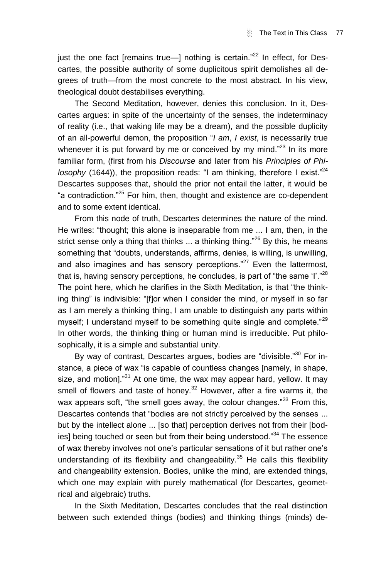iust the one fact [remains true-] nothing is certain."<sup>22</sup> In effect, for Descartes, the possible authority of some duplicitous spirit demolishes all degrees of truth—from the most concrete to the most abstract. In his view, theological doubt destabilises everything.

The Second Meditation, however, denies this conclusion. In it, Descartes argues: in spite of the uncertainty of the senses, the indeterminacy of reality (i.e., that waking life may be a dream), and the possible duplicity of an all-powerful demon, the proposition "*I am*, *I exist*, is necessarily true whenever it is put forward by me or conceived by my mind."<sup>23</sup> In its more familiar form, (first from his *Discourse* and later from his *Principles of Phi*losophy (1644)), the proposition reads: "I am thinking, therefore I exist."<sup>24</sup> Descartes supposes that, should the prior not entail the latter, it would be "a contradiction."<sup>25</sup> For him, then, thought and existence are co-dependent and to some extent identical.

From this node of truth, Descartes determines the nature of the mind. He writes: "thought; this alone is inseparable from me ... I am, then, in the strict sense only a thing that thinks  $\ldots$  a thinking thing."<sup>26</sup> By this, he means something that "doubts, understands, affirms, denies, is willing, is unwilling, and also imagines and has sensory perceptions." $27$  Even the lattermost, that is, having sensory perceptions, he concludes, is part of "the same 'I'."<sup>28</sup> The point here, which he clarifies in the Sixth Meditation, is that "the thinking thing" is indivisible: "[f]or when I consider the mind, or myself in so far as I am merely a thinking thing, I am unable to distinguish any parts within myself; I understand myself to be something quite single and complete."<sup>29</sup> In other words, the thinking thing or human mind is irreducible. Put philosophically, it is a simple and substantial unity.

By way of contrast, Descartes argues, bodies are "divisible."<sup>30</sup> For instance, a piece of wax "is capable of countless changes [namely, in shape, size, and motion]."<sup>31</sup> At one time, the wax may appear hard, yellow. It may smell of flowers and taste of honey.<sup>32</sup> However, after a fire warms it, the wax appears soft, "the smell goes away, the colour changes."<sup>33</sup> From this, Descartes contends that "bodies are not strictly perceived by the senses ... but by the intellect alone ... [so that] perception derives not from their [bodies] being touched or seen but from their being understood."<sup>34</sup> The essence of wax thereby involves not one's particular sensations of it but rather one's understanding of its flexibility and changeability. $35$  He calls this flexibility and changeability extension. Bodies, unlike the mind, are extended things, which one may explain with purely mathematical (for Descartes, geometrical and algebraic) truths.

In the Sixth Meditation, Descartes concludes that the real distinction between such extended things (bodies) and thinking things (minds) de-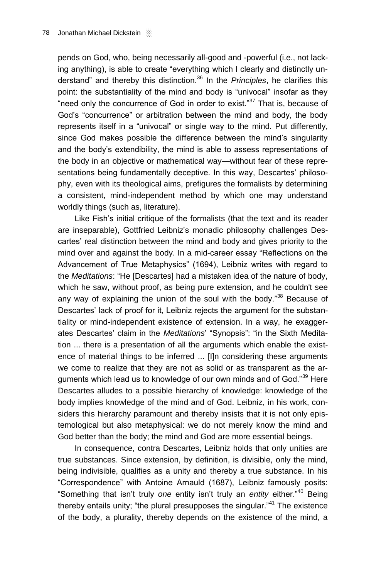pends on God, who, being necessarily all-good and -powerful (i.e., not lacking anything), is able to create "everything which I clearly and distinctly understand" and thereby this distinction.<sup>36</sup> In the *Principles*, he clarifies this point: the substantiality of the mind and body is "univocal" insofar as they "need only the concurrence of God in order to exist."<sup>37</sup> That is, because of God's "concurrence" or arbitration between the mind and body, the body represents itself in a "univocal" or single way to the mind. Put differently, since God makes possible the difference between the mind's singularity and the body's extendibility, the mind is able to assess representations of the body in an objective or mathematical way—without fear of these representations being fundamentally deceptive. In this way, Descartes' philosophy, even with its theological aims, prefigures the formalists by determining a consistent, mind-independent method by which one may understand worldly things (such as, literature).

Like Fish's initial critique of the formalists (that the text and its reader are inseparable), Gottfried Leibniz's monadic philosophy challenges Descartes' real distinction between the mind and body and gives priority to the mind over and against the body. In a mid-career essay "Reflections on the Advancement of True Metaphysics" (1694), Leibniz writes with regard to the *Meditations*: "He [Descartes] had a mistaken idea of the nature of body, which he saw, without proof, as being pure extension, and he couldn't see any way of explaining the union of the soul with the body."<sup>38</sup> Because of Descartes' lack of proof for it, Leibniz rejects the argument for the substantiality or mind-independent existence of extension. In a way, he exaggerates Descartes' claim in the *Meditations*' "Synopsis": "in the Sixth Meditation ... there is a presentation of all the arguments which enable the existence of material things to be inferred ... [I]n considering these arguments we come to realize that they are not as solid or as transparent as the arguments which lead us to knowledge of our own minds and of God."<sup>39</sup> Here Descartes alludes to a possible hierarchy of knowledge: knowledge of the body implies knowledge of the mind and of God. Leibniz, in his work, considers this hierarchy paramount and thereby insists that it is not only epistemological but also metaphysical: we do not merely know the mind and God better than the body; the mind and God are more essential beings.

In consequence, contra Descartes, Leibniz holds that only unities are true substances. Since extension, by definition, is divisible, only the mind, being indivisible, qualifies as a unity and thereby a true substance. In his "Correspondence" with Antoine Arnauld (1687), Leibniz famously posits: "Something that isn't truly *one* entity isn't truly an *entity* either."<sup>40</sup> Being thereby entails unity; "the plural presupposes the singular."<sup>41</sup> The existence of the body, a plurality, thereby depends on the existence of the mind, a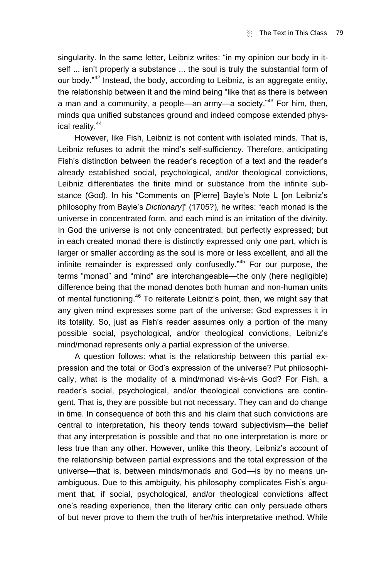singularity. In the same letter, Leibniz writes: "in my opinion our body in itself ... isn't properly a substance ... the soul is truly the substantial form of our body. $n^{42}$  Instead, the body, according to Leibniz, is an aggregate entity, the relationship between it and the mind being "like that as there is between a man and a community, a people—an army—a society."<sup>43</sup> For him, then, minds qua unified substances ground and indeed compose extended physical reality.<sup>44</sup>

However, like Fish, Leibniz is not content with isolated minds. That is, Leibniz refuses to admit the mind's self-sufficiency. Therefore, anticipating Fish's distinction between the reader's reception of a text and the reader's already established social, psychological, and/or theological convictions, Leibniz differentiates the finite mind or substance from the infinite substance (God). In his "Comments on [Pierre] Bayle's Note L [on Leibniz's philosophy from Bayle's *Dictionary*]" (1705?), he writes: "each monad is the universe in concentrated form, and each mind is an imitation of the divinity. In God the universe is not only concentrated, but perfectly expressed; but in each created monad there is distinctly expressed only one part, which is larger or smaller according as the soul is more or less excellent, and all the infinite remainder is expressed only confusedly."<sup>45</sup> For our purpose, the terms "monad" and "mind" are interchangeable—the only (here negligible) difference being that the monad denotes both human and non-human units of mental functioning.<sup>46</sup> To reiterate Leibniz's point, then, we might say that any given mind expresses some part of the universe; God expresses it in its totality. So, just as Fish's reader assumes only a portion of the many possible social, psychological, and/or theological convictions, Leibniz's mind/monad represents only a partial expression of the universe.

A question follows: what is the relationship between this partial expression and the total or God's expression of the universe? Put philosophically, what is the modality of a mind/monad vis-à-vis God? For Fish, a reader's social, psychological, and/or theological convictions are contingent. That is, they are possible but not necessary. They can and do change in time. In consequence of both this and his claim that such convictions are central to interpretation, his theory tends toward subjectivism—the belief that any interpretation is possible and that no one interpretation is more or less true than any other. However, unlike this theory, Leibniz's account of the relationship between partial expressions and the total expression of the universe—that is, between minds/monads and God—is by no means unambiguous. Due to this ambiguity, his philosophy complicates Fish's argument that, if social, psychological, and/or theological convictions affect one's reading experience, then the literary critic can only persuade others of but never prove to them the truth of her/his interpretative method. While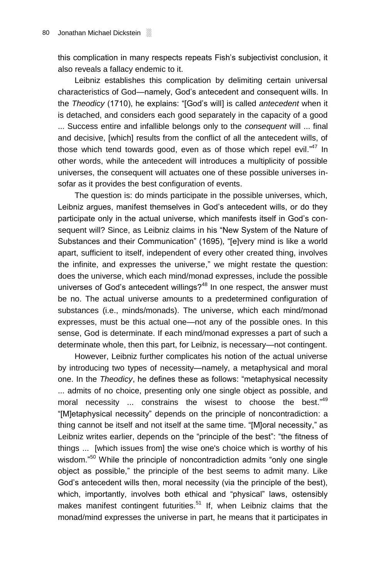this complication in many respects repeats Fish's subjectivist conclusion, it also reveals a fallacy endemic to it.

Leibniz establishes this complication by delimiting certain universal characteristics of God—namely, God's antecedent and consequent wills. In the *Theodicy* (1710), he explains: "[God's will] is called *antecedent* when it is detached, and considers each good separately in the capacity of a good ... Success entire and infallible belongs only to the *consequent* will ... final and decisive, [which] results from the conflict of all the antecedent wills, of those which tend towards good, even as of those which repel evil."<sup>47</sup> In other words, while the antecedent will introduces a multiplicity of possible universes, the consequent will actuates one of these possible universes insofar as it provides the best configuration of events.

The question is: do minds participate in the possible universes, which, Leibniz argues, manifest themselves in God's antecedent wills, or do they participate only in the actual universe, which manifests itself in God's consequent will? Since, as Leibniz claims in his "New System of the Nature of Substances and their Communication" (1695), "[e]very mind is like a world apart, sufficient to itself, independent of every other created thing, involves the infinite, and expresses the universe," we might restate the question: does the universe, which each mind/monad expresses, include the possible universes of God's antecedent willings? $48$  In one respect, the answer must be no. The actual universe amounts to a predetermined configuration of substances (i.e., minds/monads). The universe, which each mind/monad expresses, must be this actual one—not any of the possible ones. In this sense, God is determinate. If each mind/monad expresses a part of such a determinate whole, then this part, for Leibniz, is necessary—not contingent.

However, Leibniz further complicates his notion of the actual universe by introducing two types of necessity—namely, a metaphysical and moral one. In the *Theodicy*, he defines these as follows: "metaphysical necessity ... admits of no choice, presenting only one single object as possible, and moral necessity ... constrains the wisest to choose the best."<sup>49</sup> "[M]etaphysical necessity" depends on the principle of noncontradiction: a thing cannot be itself and not itself at the same time. "[M]oral necessity," as Leibniz writes earlier, depends on the "principle of the best": "the fitness of things ... [which issues from] the wise one's choice which is worthy of his wisdom."<sup>50</sup> While the principle of noncontradiction admits "only one single object as possible," the principle of the best seems to admit many. Like God's antecedent wills then, moral necessity (via the principle of the best), which, importantly, involves both ethical and "physical" laws, ostensibly makes manifest contingent futurities.<sup>51</sup> If, when Leibniz claims that the monad/mind expresses the universe in part, he means that it participates in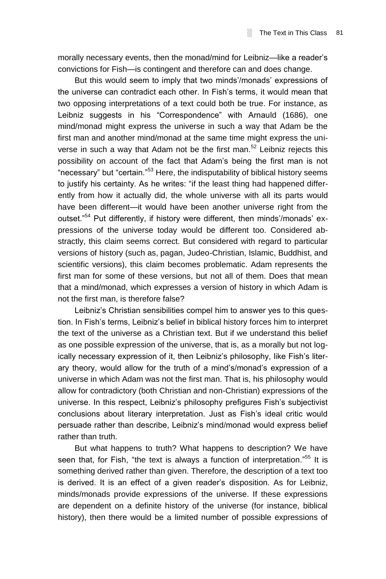morally necessary events, then the monad/mind for Leibniz—like a reader's convictions for Fish—is contingent and therefore can and does change.

But this would seem to imply that two minds'/monads' expressions of the universe can contradict each other. In Fish's terms, it would mean that two opposing interpretations of a text could both be true. For instance, as Leibniz suggests in his "Correspondence" with Arnauld (1686), one mind/monad might express the universe in such a way that Adam be the first man and another mind/monad at the same time might express the universe in such a way that Adam not be the first man.<sup>52</sup> Leibniz rejects this possibility on account of the fact that Adam's being the first man is not "necessary" but "certain."<sup>53</sup> Here, the indisputability of biblical history seems to justify his certainty. As he writes: "if the least thing had happened differently from how it actually did, the whole universe with all its parts would have been different—it would have been another universe right from the outset."<sup>54</sup> Put differently, if history were different, then minds'/monads' expressions of the universe today would be different too. Considered abstractly, this claim seems correct. But considered with regard to particular versions of history (such as, pagan, Judeo-Christian, Islamic, Buddhist, and scientific versions), this claim becomes problematic. Adam represents the first man for some of these versions, but not all of them. Does that mean that a mind/monad, which expresses a version of history in which Adam is not the first man, is therefore false?

Leibniz's Christian sensibilities compel him to answer yes to this question. In Fish's terms, Leibniz's belief in biblical history forces him to interpret the text of the universe as a Christian text. But if we understand this belief as one possible expression of the universe, that is, as a morally but not logically necessary expression of it, then Leibniz's philosophy, like Fish's literary theory, would allow for the truth of a mind's/monad's expression of a universe in which Adam was not the first man. That is, his philosophy would allow for contradictory (both Christian and non-Christian) expressions of the universe. In this respect, Leibniz's philosophy prefigures Fish's subjectivist conclusions about literary interpretation. Just as Fish's ideal critic would persuade rather than describe, Leibniz's mind/monad would express belief rather than truth.

But what happens to truth? What happens to description? We have seen that, for Fish, "the text is always a function of interpretation."<sup>55</sup> It is something derived rather than given. Therefore, the description of a text too is derived. It is an effect of a given reader's disposition. As for Leibniz, minds/monads provide expressions of the universe. If these expressions are dependent on a definite history of the universe (for instance, biblical history), then there would be a limited number of possible expressions of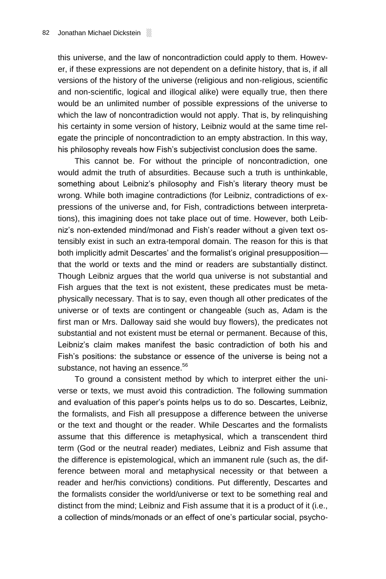this universe, and the law of noncontradiction could apply to them. However, if these expressions are not dependent on a definite history, that is, if all versions of the history of the universe (religious and non-religious, scientific and non-scientific, logical and illogical alike) were equally true, then there would be an unlimited number of possible expressions of the universe to which the law of noncontradiction would not apply. That is, by relinquishing his certainty in some version of history, Leibniz would at the same time relegate the principle of noncontradiction to an empty abstraction. In this way, his philosophy reveals how Fish's subjectivist conclusion does the same.

This cannot be. For without the principle of noncontradiction, one would admit the truth of absurdities. Because such a truth is unthinkable, something about Leibniz's philosophy and Fish's literary theory must be wrong. While both imagine contradictions (for Leibniz, contradictions of expressions of the universe and, for Fish, contradictions between interpretations), this imagining does not take place out of time. However, both Leibniz's non-extended mind/monad and Fish's reader without a given text ostensibly exist in such an extra-temporal domain. The reason for this is that both implicitly admit Descartes' and the formalist's original presupposition that the world or texts and the mind or readers are substantially distinct. Though Leibniz argues that the world qua universe is not substantial and Fish argues that the text is not existent, these predicates must be metaphysically necessary. That is to say, even though all other predicates of the universe or of texts are contingent or changeable (such as, Adam is the first man or Mrs. Dalloway said she would buy flowers), the predicates not substantial and not existent must be eternal or permanent. Because of this, Leibniz's claim makes manifest the basic contradiction of both his and Fish's positions: the substance or essence of the universe is being not a substance, not having an essence.<sup>56</sup>

To ground a consistent method by which to interpret either the universe or texts, we must avoid this contradiction. The following summation and evaluation of this paper's points helps us to do so. Descartes, Leibniz, the formalists, and Fish all presuppose a difference between the universe or the text and thought or the reader. While Descartes and the formalists assume that this difference is metaphysical, which a transcendent third term (God or the neutral reader) mediates, Leibniz and Fish assume that the difference is epistemological, which an immanent rule (such as, the difference between moral and metaphysical necessity or that between a reader and her/his convictions) conditions. Put differently, Descartes and the formalists consider the world/universe or text to be something real and distinct from the mind; Leibniz and Fish assume that it is a product of it (i.e., a collection of minds/monads or an effect of one's particular social, psycho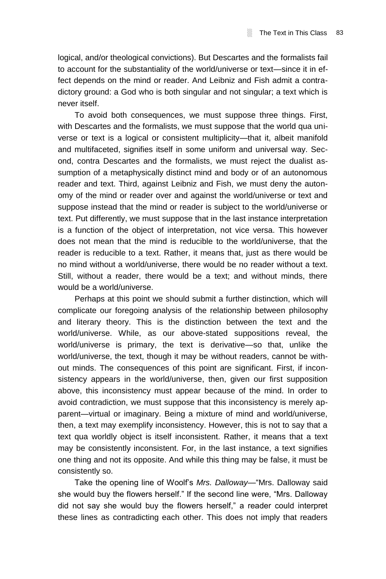logical, and/or theological convictions). But Descartes and the formalists fail to account for the substantiality of the world/universe or text—since it in effect depends on the mind or reader. And Leibniz and Fish admit a contradictory ground: a God who is both singular and not singular; a text which is never itself.

To avoid both consequences, we must suppose three things. First, with Descartes and the formalists, we must suppose that the world qua universe or text is a logical or consistent multiplicity—that it, albeit manifold and multifaceted, signifies itself in some uniform and universal way. Second, contra Descartes and the formalists, we must reject the dualist assumption of a metaphysically distinct mind and body or of an autonomous reader and text. Third, against Leibniz and Fish, we must deny the autonomy of the mind or reader over and against the world/universe or text and suppose instead that the mind or reader is subject to the world/universe or text. Put differently, we must suppose that in the last instance interpretation is a function of the object of interpretation, not vice versa. This however does not mean that the mind is reducible to the world/universe, that the reader is reducible to a text. Rather, it means that, just as there would be no mind without a world/universe, there would be no reader without a text. Still, without a reader, there would be a text; and without minds, there would be a world/universe.

Perhaps at this point we should submit a further distinction, which will complicate our foregoing analysis of the relationship between philosophy and literary theory. This is the distinction between the text and the world/universe. While, as our above-stated suppositions reveal, the world/universe is primary, the text is derivative—so that, unlike the world/universe, the text, though it may be without readers, cannot be without minds. The consequences of this point are significant. First, if inconsistency appears in the world/universe, then, given our first supposition above, this inconsistency must appear because of the mind. In order to avoid contradiction, we must suppose that this inconsistency is merely apparent—virtual or imaginary. Being a mixture of mind and world/universe, then, a text may exemplify inconsistency. However, this is not to say that a text qua worldly object is itself inconsistent. Rather, it means that a text may be consistently inconsistent. For, in the last instance, a text signifies one thing and not its opposite. And while this thing may be false, it must be consistently so.

Take the opening line of Woolf's *Mrs. Dalloway*—"Mrs. Dalloway said she would buy the flowers herself." If the second line were, "Mrs. Dalloway did not say she would buy the flowers herself," a reader could interpret these lines as contradicting each other. This does not imply that readers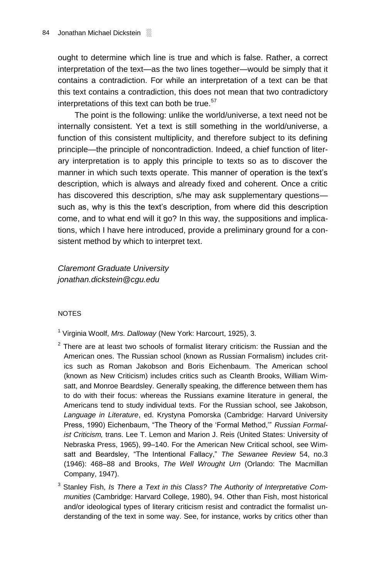ought to determine which line is true and which is false. Rather, a correct interpretation of the text—as the two lines together—would be simply that it contains a contradiction. For while an interpretation of a text can be that this text contains a contradiction, this does not mean that two contradictory interpretations of this text can both be true. $57$ 

The point is the following: unlike the world/universe, a text need not be internally consistent. Yet a text is still something in the world/universe, a function of this consistent multiplicity, and therefore subject to its defining principle—the principle of noncontradiction. Indeed, a chief function of literary interpretation is to apply this principle to texts so as to discover the manner in which such texts operate. This manner of operation is the text's description, which is always and already fixed and coherent. Once a critic has discovered this description, s/he may ask supplementary questions such as, why is this the text's description, from where did this description come, and to what end will it go? In this way, the suppositions and implications, which I have here introduced, provide a preliminary ground for a consistent method by which to interpret text.

*Claremont Graduate University jonathan.dickstein@cgu.edu*

## **NOTES**

<sup>1</sup> Virginia Woolf, *Mrs. Dalloway* (New York: Harcourt, 1925), 3.

- $2$  There are at least two schools of formalist literary criticism: the Russian and the American ones. The Russian school (known as Russian Formalism) includes critics such as Roman Jakobson and Boris Eichenbaum. The American school (known as New Criticism) includes critics such as Cleanth Brooks, William Wimsatt, and Monroe Beardsley. Generally speaking, the difference between them has to do with their focus: whereas the Russians examine literature in general, the Americans tend to study individual texts. For the Russian school, see Jakobson, *Language in Literature*, ed. Krystyna Pomorska (Cambridge: Harvard University Press, 1990) Eichenbaum, "The Theory of the 'Formal Method,'" *Russian Formalist Criticism,* trans. Lee T. Lemon and Marion J. Reis (United States: University of Nebraska Press, 1965), 99–140. For the American New Critical school, see Wimsatt and Beardsley, "The Intentional Fallacy," *The Sewanee Review* 54, no.3 (1946): 468–88 and Brooks, *The Well Wrought Urn* (Orlando: The Macmillan Company, 1947).
- <sup>3</sup> Stanley Fish, *Is There a Text in this Class? The Authority of Interpretative Communities* (Cambridge: Harvard College, 1980), 94. Other than Fish, most historical and/or ideological types of literary criticism resist and contradict the formalist understanding of the text in some way. See, for instance, works by critics other than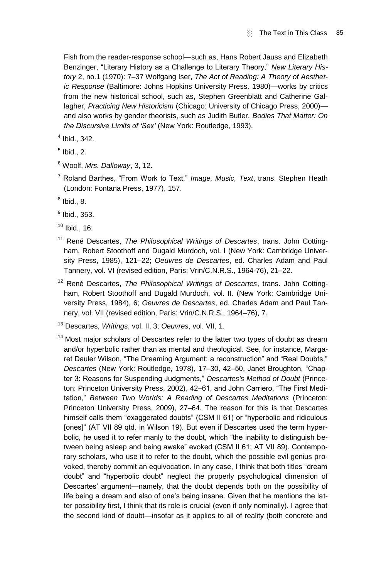Fish from the reader-response school—such as, Hans Robert Jauss and Elizabeth Benzinger, "Literary History as a Challenge to Literary Theory," *New Literary History* 2, no.1 (1970): 7–37 Wolfgang Iser, *The Act of Reading: A Theory of Aesthetic Response* (Baltimore: Johns Hopkins University Press*,* 1980)—works by critics from the new historical school, such as, Stephen Greenblatt and Catherine Gallagher, *Practicing New Historicism* (Chicago: University of Chicago Press, 2000) and also works by gender theorists, such as Judith Butler, *Bodies That Matter: On the Discursive Limits of 'Sex'* (New York: Routledge, 1993).

4 Ibid., 342.

 $<sup>5</sup>$  Ibid., 2.</sup>

<sup>6</sup> Woolf, *Mrs. Dalloway*, 3, 12.

<sup>7</sup> Roland Barthes, "From Work to Text," *Image, Music, Text*, trans. Stephen Heath (London: Fontana Press, 1977), 157.

 $^8$  Ibid., 8.

 $^9$  Ibid., 353.

 $10$  Ibid., 16.

<sup>11</sup> René Descartes, *The Philosophical Writings of Descartes*, trans. John Cottingham, Robert Stoothoff and Dugald Murdoch, vol. I (New York: Cambridge University Press, 1985), 121–22; *Oeuvres de Descartes*, ed. Charles Adam and Paul Tannery, vol. VI (revised edition, Paris: Vrin/C.N.R.S., 1964-76), 21–22.

<sup>12</sup> René Descartes, *The Philosophical Writings of Descartes*, trans. John Cottingham, Robert Stoothoff and Dugald Murdoch, vol. II. (New York: Cambridge University Press, 1984), 6; *Oeuvres de Descartes*, ed. Charles Adam and Paul Tannery, vol. VII (revised edition, Paris: Vrin/C.N.R.S., 1964–76), 7.

<sup>13</sup> Descartes, *Writings*, vol. II, 3; *Oeuvres*, vol. VII, 1.

 $14$  Most major scholars of Descartes refer to the latter two types of doubt as dream and/or hyperbolic rather than as mental and theological. See, for instance, Margaret Dauler Wilson, "The Dreaming Argument: a reconstruction" and "Real Doubts," *Descartes* (New York: Routledge, 1978), 17–30, 42–50, Janet Broughton, "Chapter 3: Reasons for Suspending Judgments," *Descartes's Method of Doubt* (Princeton: Princeton University Press, 2002), 42–61, and John Carriero, "The First Meditation," *Between Two Worlds: A Reading of Descartes Meditations* (Princeton: Princeton University Press, 2009), 27–64. The reason for this is that Descartes himself calls them "exaggerated doubts" (CSM II 61) or "hyperbolic and ridiculous [ones]" (AT VII 89 qtd. in Wilson 19). But even if Descartes used the term hyperbolic, he used it to refer manly to the doubt, which "the inability to distinguish between being asleep and being awake" evoked (CSM II 61; AT VII 89). Contemporary scholars, who use it to refer to the doubt, which the possible evil genius provoked, thereby commit an equivocation. In any case, I think that both titles "dream doubt" and "hyperbolic doubt" neglect the properly psychological dimension of Descartes' argument—namely, that the doubt depends both on the possibility of life being a dream and also of one's being insane. Given that he mentions the latter possibility first, I think that its role is crucial (even if only nominally). I agree that the second kind of doubt—insofar as it applies to all of reality (both concrete and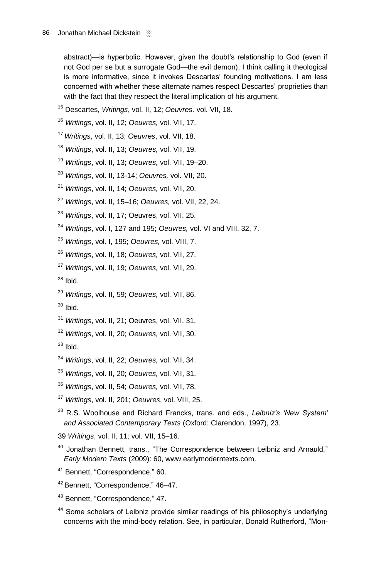abstract)—is hyperbolic. However, given the doubt's relationship to God (even if not God per se but a surrogate God—the evil demon), I think calling it theological is more informative, since it invokes Descartes' founding motivations. I am less concerned with whether these alternate names respect Descartes' proprieties than with the fact that they respect the literal implication of his argument.

- Descartes, *Writings*, vol. II, 12; *Oeuvres,* vol. VII, 18.
- *Writings*, vol. II, 12; *Oeuvres,* vol. VII, 17.
- *Writings*, vol. II, 13; *Oeuvres*, vol. VII, 18.
- *Writings*, vol. II, 13; *Oeuvres,* vol. VII, 19.
- *Writings*, vol. II, 13; *Oeuvres,* vol. VII, 19–20.
- *Writings*, vol. II, 13-14; *Oeuvres,* vol. VII, 20.
- *Writings*, vol. II, 14; *Oeuvres,* vol. VII, 20.
- *Writings*, vol. II, 15–16; *Oeuvres,* vol. VII, 22, 24.
- *Writings*, vol. II, 17; Oeuvres, vol. VII, 25.
- *Writings*, vol. I, 127 and 195; *Oeuvres,* vol. VI and VIII, 32, 7.
- *Writings*, vol. I, 195; *Oeuvres,* vol. VIII, 7.
- *Writings*, vol. II, 18; *Oeuvres,* vol. VII, 27.
- *Writings*, vol. II, 19; *Oeuvres,* vol. VII, 29.
- Ibid.
- *Writings*, vol. II, 59; *Oeuvres,* vol. VII, 86.
- Ibid.
- *Writings*, vol. II, 21; Oeuvres, vol. VII, 31.
- *Writings*, vol. II, 20; *Oeuvres,* vol. VII, 30.
- Ibid.
- *Writings*, vol. II, 22; *Oeuvres,* vol. VII, 34.
- *Writings*, vol. II, 20; *Oeuvres,* vol. VII, 31.
- *Writings*, vol. II, 54; *Oeuvres,* vol. VII, 78.
- *Writings*, vol. II, 201; *Oeuvres*, vol. VIII, 25.
- R.S. Woolhouse and Richard Francks, trans. and eds., *Leibniz's 'New System' and Associated Contemporary Texts* (Oxford: Clarendon, 1997), 23.
- *Writings*, vol. II, 11; vol. VII, 15–16.
- Jonathan Bennett, trans., "The Correspondence between Leibniz and Arnauld." *Early Modern Texts* (2009): 60, www.earlymoderntexts.com.
- Bennett, "Correspondence," 60.
- Bennett, "Correspondence," 46–47.
- Bennett, "Correspondence," 47.
- <sup>44</sup> Some scholars of Leibniz provide similar readings of his philosophy's underlying concerns with the mind-body relation. See, in particular, Donald Rutherford, "Mon-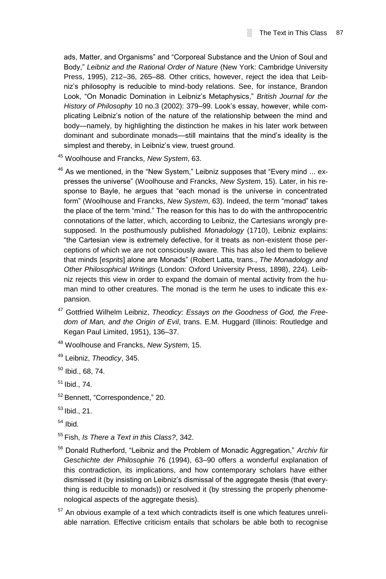ads, Matter, and Organisms" and "Corporeal Substance and the Union of Soul and Body," *Leibniz and the Rational Order of Nature* (New York: Cambridge University Press, 1995), 212–36, 265–88. Other critics, however, reject the idea that Leibniz's philosophy is reducible to mind-body relations. See, for instance, Brandon Look, "On Monadic Domination in Leibniz's Metaphysics," *British Journal for the History of Philosophy* 10 no.3 (2002): 379–99. Look's essay, however, while complicating Leibniz's notion of the nature of the relationship between the mind and body—namely, by highlighting the distinction he makes in his later work between dominant and subordinate monads—still maintains that the mind's ideality is the simplest and thereby, in Leibniz's view, truest ground.

- <sup>45</sup> Woolhouse and Francks, *New System*, 63.
- $46$  As we mentioned, in the "New System." Leibniz supposes that "Every mind  $\ldots$  expresses the universe" (Woolhouse and Francks, *New System*, 15). Later, in his response to Bayle, he argues that "each monad is the universe in concentrated form" (Woolhouse and Francks, *New System*, 63). Indeed, the term "monad" takes the place of the term "mind." The reason for this has to do with the anthropocentric connotations of the latter, which, according to Leibniz, the Cartesians wrongly presupposed. In the posthumously published *Monadology* (1710), Leibniz explains: "the Cartesian view is extremely defective, for it treats as non-existent those perceptions of which we are not consciously aware. This has also led them to believe that minds [*esprits*] alone are Monads" (Robert Latta, trans., *The Monadology and Other Philosophical Writings* (London: Oxford University Press, 1898), 224). Leibniz rejects this view in order to expand the domain of mental activity from the human mind to other creatures. The monad is the term he uses to indicate this expansion.
- <sup>47</sup> Gottfried Wilhelm Leibniz, *Theodicy: Essays on the Goodness of God, the Freedom of Man, and the Origin of Evil*, trans. E.M. Huggard (Illinois: Routledge and Kegan Paul Limited, 1951), 136–37.
- <sup>48</sup> Woolhouse and Francks, *New System*, 15.
- <sup>49</sup> Leibniz, *Theodicy*, 345.
- $50$  Ibid., 68, 74.
- $51$  Ibid., 74.
- <sup>52</sup> Bennett, "Correspondence," 20.
- $53$  Ibid., 21.
- $54$  Ibid.
- <sup>55</sup> Fish, *Is There a Text in this Class?*, 342.
- <sup>56</sup> Donald Rutherford, "Leibniz and the Problem of Monadic Aggregation," *Archiv für Geschichte der Philosophie* 76 (1994), 63–90 offers a wonderful explanation of this contradiction, its implications, and how contemporary scholars have either dismissed it (by insisting on Leibniz's dismissal of the aggregate thesis (that everything is reducible to monads)) or resolved it (by stressing the properly phenomenological aspects of the aggregate thesis).
- $57$  An obvious example of a text which contradicts itself is one which features unreliable narration. Effective criticism entails that scholars be able both to recognise